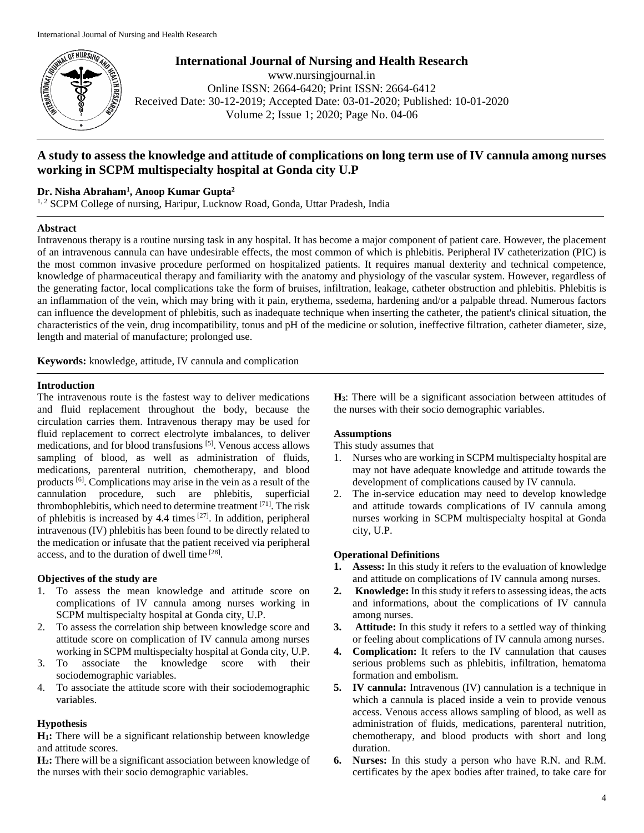

**International Journal of Nursing and Health Research** www.nursingjournal.in Online ISSN: 2664-6420; Print ISSN: 2664-6412 Received Date: 30-12-2019; Accepted Date: 03-01-2020; Published: 10-01-2020 Volume 2; Issue 1; 2020; Page No. 04-06

# **A study to assess the knowledge and attitude of complications on long term use of IV cannula among nurses working in SCPM multispecialty hospital at Gonda city U.P**

## **Dr. Nisha Abraham<sup>1</sup> , Anoop Kumar Gupta<sup>2</sup>**

<sup>1, 2</sup> SCPM College of nursing, Haripur, Lucknow Road, Gonda, Uttar Pradesh, India

## **Abstract**

Intravenous therapy is a routine nursing task in any hospital. It has become a major component of patient care. However, the placement of an intravenous cannula can have undesirable effects, the most common of which is phlebitis. Peripheral IV catheterization (PIC) is the most common invasive procedure performed on hospitalized patients. It requires manual dexterity and technical competence, knowledge of pharmaceutical therapy and familiarity with the anatomy and physiology of the vascular system. However, regardless of the generating factor, local complications take the form of bruises, infiltration, leakage, catheter obstruction and phlebitis. Phlebitis is an inflammation of the vein, which may bring with it pain, erythema, ssedema, hardening and/or a palpable thread. Numerous factors can influence the development of phlebitis, such as inadequate technique when inserting the catheter, the patient's clinical situation, the characteristics of the vein, drug incompatibility, tonus and pH of the medicine or solution, ineffective filtration, catheter diameter, size, length and material of manufacture; prolonged use.

**Keywords:** knowledge, attitude, IV cannula and complication

### **Introduction**

The intravenous route is the fastest way to deliver medications and fluid replacement throughout the body, because the circulation carries them. Intravenous therapy may be used for fluid replacement to correct electrolyte imbalances, to deliver medications, and for blood transfusions [5] . Venous access allows sampling of blood, as well as administration of fluids, medications, parenteral nutrition, chemotherapy, and blood products <sup>[6]</sup>. Complications may arise in the vein as a result of the cannulation procedure, such are phlebitis, superficial thrombophlebitis, which need to determine treatment [71] . The risk of phlebitis is increased by 4.4 times <sup>[27]</sup>. In addition, peripheral intravenous (IV) phlebitis has been found to be directly related to the medication or infusate that the patient received via peripheral access, and to the duration of dwell time [28].

## **Objectives of the study are**

- 1. To assess the mean knowledge and attitude score on complications of IV cannula among nurses working in SCPM multispecialty hospital at Gonda city, U.P.
- 2. To assess the correlation ship between knowledge score and attitude score on complication of IV cannula among nurses working in SCPM multispecialty hospital at Gonda city, U.P.
- 3. To associate the knowledge score with their sociodemographic variables.
- 4. To associate the attitude score with their sociodemographic variables.

## **Hypothesis**

**H1:** There will be a significant relationship between knowledge and attitude scores.

**H2:** There will be a significant association between knowledge of the nurses with their socio demographic variables.

**H3**: There will be a significant association between attitudes of the nurses with their socio demographic variables.

## **Assumptions**

This study assumes that

- 1. Nurses who are working in SCPM multispecialty hospital are may not have adequate knowledge and attitude towards the development of complications caused by IV cannula.
- 2. The in-service education may need to develop knowledge and attitude towards complications of IV cannula among nurses working in SCPM multispecialty hospital at Gonda city, U.P.

## **Operational Definitions**

- **1. Assess:** In this study it refers to the evaluation of knowledge and attitude on complications of IV cannula among nurses.
- **2. Knowledge:** In this study it refers to assessing ideas, the acts and informations, about the complications of IV cannula among nurses.
- **3. Attitude:** In this study it refers to a settled way of thinking or feeling about complications of IV cannula among nurses.
- **4. Complication:** It refers to the IV cannulation that causes serious problems such as phlebitis, infiltration, hematoma formation and embolism.
- **5. IV cannula:** Intravenous (IV) cannulation is a technique in which a cannula is placed inside a vein to provide venous access. Venous access allows sampling of blood, as well as administration of fluids, medications, parenteral nutrition, chemotherapy, and blood products with short and long duration.
- **6. Nurses:** In this study a person who have R.N. and R.M. certificates by the apex bodies after trained, to take care for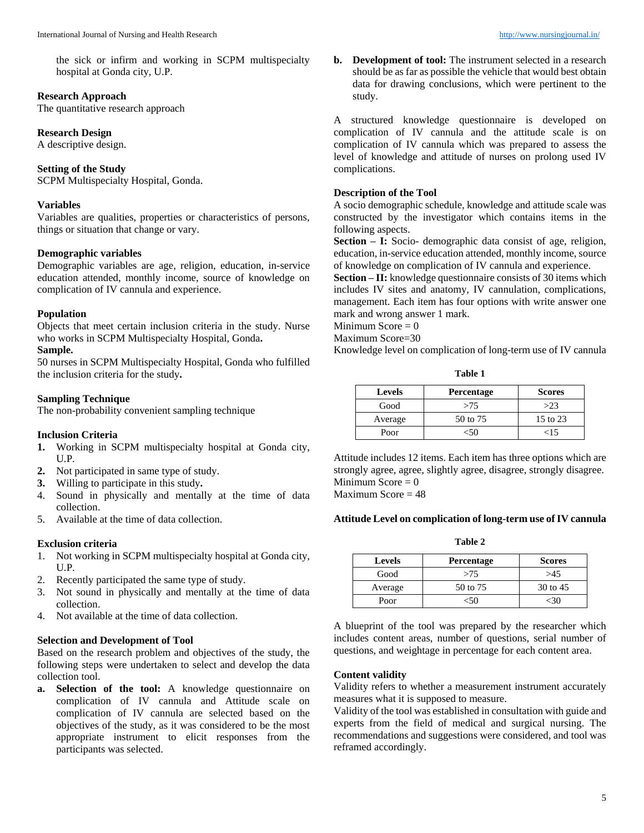the sick or infirm and working in SCPM multispecialty hospital at Gonda city, U.P.

## **Research Approach**

The quantitative research approach

## **Research Design**

A descriptive design.

## **Setting of the Study**

SCPM Multispecialty Hospital, Gonda.

## **Variables**

Variables are qualities, properties or characteristics of persons, things or situation that change or vary.

## **Demographic variables**

Demographic variables are age, religion, education, in-service education attended, monthly income, source of knowledge on complication of IV cannula and experience.

## **Population**

Objects that meet certain inclusion criteria in the study. Nurse who works in SCPM Multispecialty Hospital, Gonda**.**

## **Sample.**

50 nurses in SCPM Multispecialty Hospital, Gonda who fulfilled the inclusion criteria for the study**.**

## **Sampling Technique**

The non-probability convenient sampling technique

### **Inclusion Criteria**

- **1.** Working in SCPM multispecialty hospital at Gonda city, U.P.
- **2.** Not participated in same type of study.
- **3.** Willing to participate in this study**.**
- 4. Sound in physically and mentally at the time of data collection.
- 5. Available at the time of data collection.

## **Exclusion criteria**

- 1. Not working in SCPM multispecialty hospital at Gonda city, U.P.
- 2. Recently participated the same type of study.
- 3. Not sound in physically and mentally at the time of data collection.
- 4. Not available at the time of data collection.

### **Selection and Development of Tool**

Based on the research problem and objectives of the study, the following steps were undertaken to select and develop the data collection tool.

**a. Selection of the tool:** A knowledge questionnaire on complication of IV cannula and Attitude scale on complication of IV cannula are selected based on the objectives of the study, as it was considered to be the most appropriate instrument to elicit responses from the participants was selected.

**b. Development of tool:** The instrument selected in a research should be as far as possible the vehicle that would best obtain data for drawing conclusions, which were pertinent to the study.

A structured knowledge questionnaire is developed on complication of IV cannula and the attitude scale is on complication of IV cannula which was prepared to assess the level of knowledge and attitude of nurses on prolong used IV complications.

## **Description of the Tool**

A socio demographic schedule, knowledge and attitude scale was constructed by the investigator which contains items in the following aspects.

**Section – I:** Socio- demographic data consist of age, religion, education, in-service education attended, monthly income, source of knowledge on complication of IV cannula and experience.

**Section – II:** knowledge questionnaire consists of 30 items which includes IV sites and anatomy, IV cannulation, complications, management. Each item has four options with write answer one mark and wrong answer 1 mark.

Minimum Score  $= 0$ Maximum Score=30

Knowledge level on complication of long-term use of IV cannula

| <b>Levels</b> | <b>Percentage</b> | <b>Scores</b> |
|---------------|-------------------|---------------|
| Good          | >75               | >23           |
| Average       | 50 to 75          | 15 to 23      |
| Poor          |                   | 15<           |

Attitude includes 12 items. Each item has three options which are strongly agree, agree, slightly agree, disagree, strongly disagree. Minimum Score  $= 0$ Maximum Score  $= 48$ 

### **Attitude Level on complication of long-term use of IV cannula**

**Table 2**

| <b>Levels</b> | <b>Percentage</b> | <b>Scores</b> |
|---------------|-------------------|---------------|
| Good          | >75               | >45           |
| Average       | 50 to 75          | 30 to 45      |
| Poor          |                   |               |

A blueprint of the tool was prepared by the researcher which includes content areas, number of questions, serial number of questions, and weightage in percentage for each content area.

### **Content validity**

Validity refers to whether a measurement instrument accurately measures what it is supposed to measure.

Validity of the tool was established in consultation with guide and experts from the field of medical and surgical nursing. The recommendations and suggestions were considered, and tool was reframed accordingly.